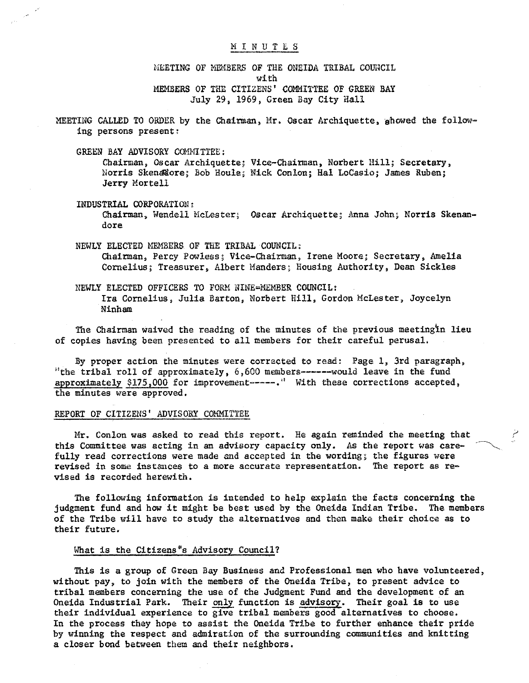### **MINUTES**

MEETING OF MEMBERS OF THE ONEIDA TRIBAL COUNCIL with MEMBERS OF THE CITIZENS' COMMITTEE OF GREEN BAY July 29, 1969, Green Bay City Hall

MEETING CALLED TO ORDER by the Chairman, Mr. Oscar Archiquette, showed the following persons present:

GREEN BAY ADVISORY COMMITTEE:

Chairman, Oscar Archiquette; Vice-Chairman, Norbert Hill; Secretary, Norris SkenaNore; Bob Houle; Nick Conlon; Hal LoCasio; James Ruben; Jerry Mortell

INDUSTRIAL CORPORATION: Chairman, Wendell McLester; Oscar Archiquette; Anna John; Norris Skenandore

NEWLY ELECTED MEHBERS OF THE TRIBAL COUNCIL: Chairman, Percy Powless; Vice-Chairman, Irene Moore; Secretary, Amelia Cornelius; Treasurer, Albert Handers; Housing Authority, Dean Sickles

NEWLY ELECTED OFFICERS TO FORM NINE~MEMBER COUNCIL: Ira Cornelius, Julia Barton, Norbert Hill, Gordon McLester, Joycelyn Ninham

The Chairman waived the reading of the minutes of the previous meetingln lieu of copies having been presented to all members for their careful perusal.

By proper action the minutes were corrected to read: Page 1, 3rd paragraph, "the tribal roll of approximately, 6, 600 members------would leave in the fund approximately \$175,000 for improvement-----." With these corrections accepted, the minutes were approved.

### REPORT OF CITIZENS' ADVISORY COMMITTEE

Mr. Conlon was asked to read this report. He again reminded the meeting that this Committee was acting in an advisory capacity only. As the report was carefully read corrections were made and accepted in the wording; the figures were revised in some instances to a more accurate representation. The report as revised is recorded herewith.

The following information is intended to help explain the facts concerning the judgment fund and how it might be best used by the Oneida Indian Tribe. The members of the Tribe will have to study the alternatives and then make their choice as to their future.

### What is the Citizens<sup>®</sup>s Advisory Council?

This is a group of Green Bay Business and Professional men who have volunteered, without pay, to join with the members of the Oneida Tribe, to present advice to tribal members concerning the use of the Judgment Fund and the development of an Oneida Industrial Park. Their only function is advisory. Their goal is to use their individual experience to give tribal members good alternatives to choose. In the process they hope to assist the Oneida Tribe to further enhance their pride by winning the respect and admiration of the surrounding communities and knitting a closer bond between them and their neighbors.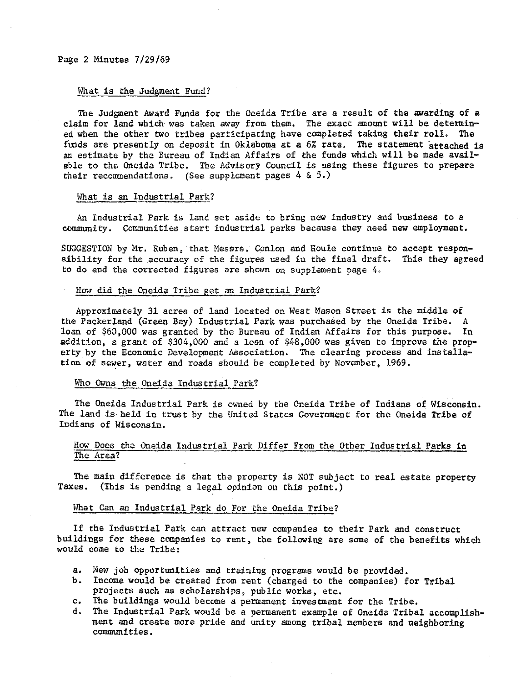# What is the Judgment Fund?

The Judgment Award Funds for the Oneida Tribe are a result of the awarding of a claim for land which was taken away from them. The exact amount will be determined when the other two tribes participating have completed taking their roll. The funds are presently on deposit in Oklahoma at a 6% rate. The statement attached is an estimate by the Bureau of Indian Affairs of the funds which will be made available to the Oneida Tribe. The Advisory Council is using these figures to prepare their recommendations. (See supplement pages  $4 \& 5.$ )

### What is an Industrial Park?

An Industrial Park is land set aside to bring new industry and business to a community. Communities start industrial parks because they need new employment.

SUGGESTION by Mr. Ruben, that Messrs. Conlon and Houle continue to accept responsibility for the accuracy of the figures used in the final draft. This they agreed to do and the corrected figures are shown on supplement page 4.

### How did the Oneida Tribe get an Industrial Park?

Approximately 31 acres of land located on West Mason Street is the middle of the Packerland (Green Bay) Industrial Park was purchased by the Oneida Tribe. A loan of \$60,000 *was* granted by the Bureau of Indian Affairs for this purpose. In addition, a grant of \$304,000 and *a* loan of \$48,000 was given to improve the property by the Economic Development Association. The clearing process and installation of sewer, water and roads should be completed by November, 1969.

### Who Owns the Oneida Industrial Park?

The Oneida Industrial Park is owned by the Oneida Tribe of Indians of Wisconsin. The land is held in trust by the United States Government for the Oneida Tribe of Indians of Wisconsin.

### How Does the Oneida Industrial Park Differ From the Other Industrial Parks in The Area?

The main difference is that the property is NOT subject to real estate property Taxes. (This is pending a legal opinion on this point.)

### What Can an Industrial Park do For the Oneida Tribe?

If the Industrial Park can attract new companies to their Park and construct buildings for these companies to rent, the following are some of the benefits which would come to the Tribe:

- a, New job opportunities and training programs would be provided.
- b. Income would be created from rent (charged to the companies) for Tribal projects such as scholarships, public works, etc.
- c. The buildings would become a permanent investment for the Tribe.
- d. The Industrial Park would be *a* permanent example of Oneida Tribal accomplishment and create more pride and unity among tribal members and neighboring communities,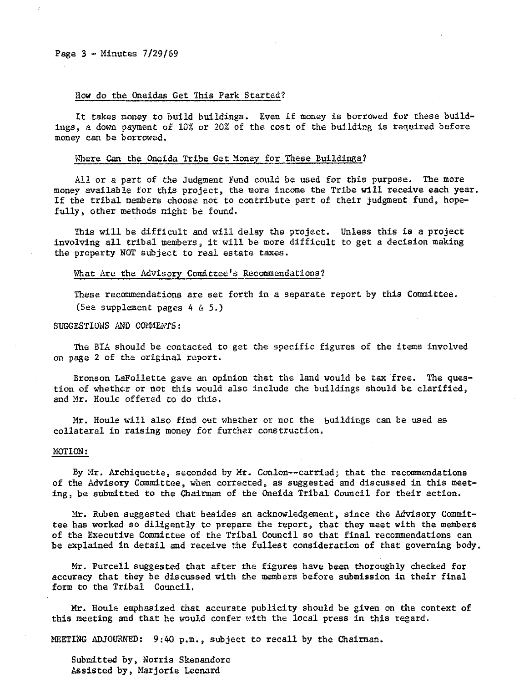#### How do the Oneidas Get This Park Started?

It takes money to build buildings. Even if money is borrowed for these buildings, a down payment of 10% or 20% of the cost of the building is required before money can be borrowed.

### Where Can the Oneida Tribe Get Money for These Buildings?

All or a part of the Judgment Fund could be used for this purpose. The more money available for this project, the more income the Tribe will receive each year. If the tribal members choose not to contribute part of their judgment fund, hopefully, other methods might be found.

This will be difficult and will delay the project. Unless this is a project involving all tribal members, it will be more difficult to get a decision making the property NOT subject to real estate taxes.

### What Are the Advisory Comittee's Recommendations?

These recommendations are set forth in a separate report by this Committee. (See supplement pages 4 & 5.)

### SUGGESTIONS AND COMMENTS:

The BIA should be contacted to get the specific figures of the items involved on page 2 of the original report.

Bronson LaFollette gave an opinion that the land would be tax free. The question of whether or not this would also include the buildings should be clarified, and Mr. Houle offered to do this.

Mr. Houle will also find out whether or not the buildings can be used as collateral in raising money for further construction.

### MOTION:

By Mr. Archiquette, seconded by Mr. Conlon--carried; that the recommendations of the Advisory Committee, when corrected, as suggested and discussed in this meeting, be submitted to the Chairman of the Oneida Tribal Council for their action.

Mr. Ruben suggested that besides an acknowledgement, since the Advisory Committee has worked so diligently to prepare the report, that they meet with the members of the Executive Committee of the Tribal Council so that final recommendations can be explained in detail and receive the fullest consideration of that governing body.

Mr. Purcell suggested that after the figures have been thoroughly checked for accuracy that they be discussed with the members before submission in their final form to the Tribal Council.

Mr. Houle emphasized that accurate publicity should be given on the context of this meeting and that he would confer with the local press in this regard.

MEETING ADJOURNED:  $9:40 p.m.,$  subject to recall by the Chairman.

Submitted by, Norris Skenandore Assisted by, Marjorie Leonard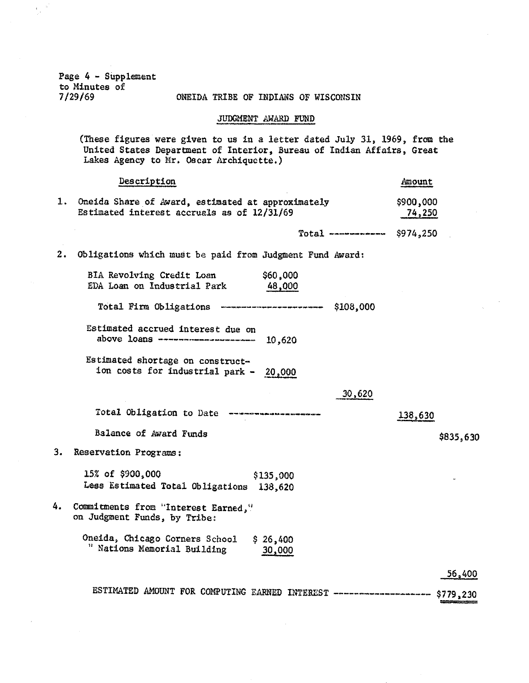Page 4 - Supplement to Minutes of  $7/29/69$ 

 $\frac{1}{2}$ 

### ONEIDA TRIBE OF INDIANS OF WISCONSIN

## JUDGMENT AWARD FUND

(These figures were given to us in a letter dated July 31, 1969, from the United States Department of Interior, Bureau of Indian Affairs, Great Lakes Agency to Mr. Oscar Archiquette.)

|    | Description                                                                                        | Amount              |           |
|----|----------------------------------------------------------------------------------------------------|---------------------|-----------|
|    | 1. Oneida Share of Award, estimated at approximately<br>Estimated interest accruals as of 12/31/69 | \$900,000<br>74,250 |           |
|    | Total ------------ $$974,250$                                                                      |                     |           |
| 2. | Obligations which must be paid from Judgment Fund Award:                                           |                     |           |
|    | BIA Revolving Credit Loan<br>\$60,000<br>EDA Loan on Industrial Park<br>48,000                     |                     |           |
|    | Total Firm Obligations ----------------------- \$108,000                                           |                     |           |
|    | Estimated accrued interest due on<br>above loans --------------------- 10,620                      |                     |           |
|    | Estimated shortage on construct-<br>ion costs for industrial park - 20,000                         |                     |           |
|    | 30,620                                                                                             |                     |           |
|    | Total Obligation to Date ------------------                                                        | 138,630             |           |
|    | Balance of Award Funds                                                                             |                     | \$835,630 |
| 3. | Reservation Programs:                                                                              |                     |           |
|    | 15% of \$900,000<br>\$135,000<br>Less Estimated Total Obligations 138,620                          |                     |           |
| 4. | Commitments from "Interest Earned,"<br>on Judgment Funds, by Tribe:                                |                     |           |
|    | Oneida, Chicago Corners School<br>\$26,400<br>" Nations Memorial Building<br>30,000                |                     |           |
|    |                                                                                                    |                     | 56,400    |
|    | ESTIMATED AMOUNT FOR COMPUTING EARNED INTEREST ---------------------- \$779,230                    |                     |           |